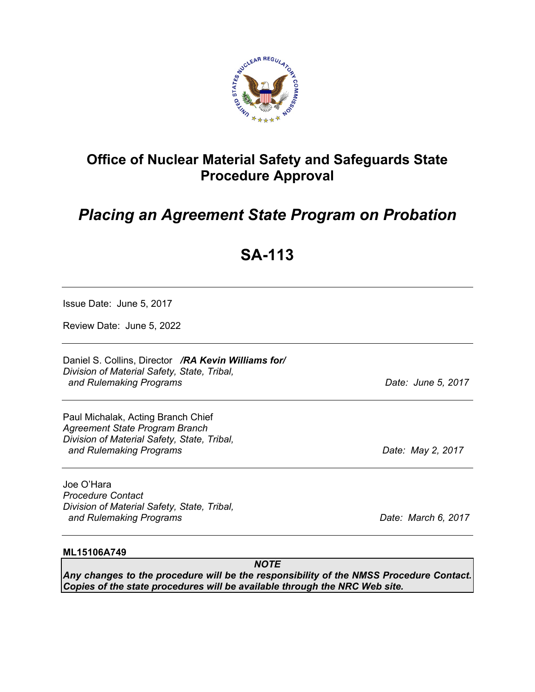

## **Office of Nuclear Material Safety and Safeguards State Procedure Approval**

# *Placing an Agreement State Program on Probation*

# **SA-113**

Issue Date: June 5, 2017

Review Date: June 5, 2022

Daniel S. Collins, Director */RA Kevin Williams for/ Division of Material Safety, State, Tribal, and Rulemaking Programs Date: June 5, 2017* 

Paul Michalak, Acting Branch Chief *Agreement State Program Branch Division of Material Safety, State, Tribal, and Rulemaking Programs Date: May 2, 2017* 

Joe O'Hara *Procedure Contact Division of Material Safety, State, Tribal, and Rulemaking Programs Date: March 6, 2017* 

#### **ML15106A749**

*NOTE Any changes to the procedure will be the responsibility of the NMSS Procedure Contact. Copies of the state procedures will be available through the NRC Web site.*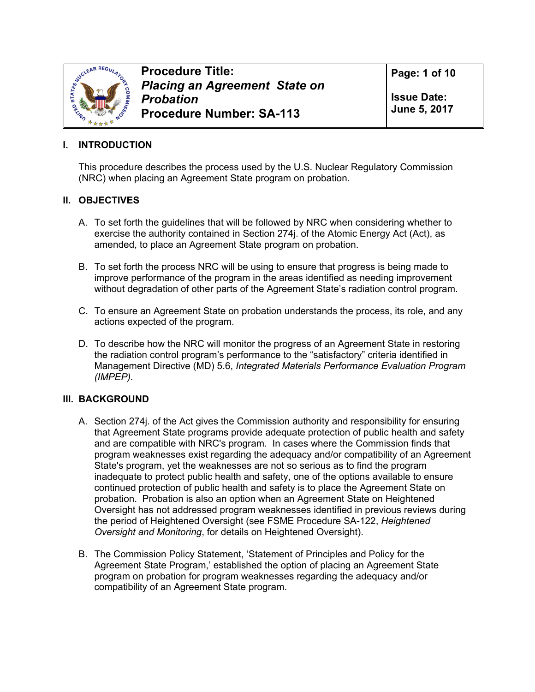

**Procedure Title:**  *Placing an Agreement State on Probation*  **Procedure Number: SA-113**

**Page: 1 of 10** 

**Issue Date: June 5, 2017** 

#### **I. INTRODUCTION**

This procedure describes the process used by the U.S. Nuclear Regulatory Commission (NRC) when placing an Agreement State program on probation.

#### **II. OBJECTIVES**

- A. To set forth the guidelines that will be followed by NRC when considering whether to exercise the authority contained in Section 274j. of the Atomic Energy Act (Act), as amended, to place an Agreement State program on probation.
- B. To set forth the process NRC will be using to ensure that progress is being made to improve performance of the program in the areas identified as needing improvement without degradation of other parts of the Agreement State's radiation control program.
- C. To ensure an Agreement State on probation understands the process, its role, and any actions expected of the program.
- D. To describe how the NRC will monitor the progress of an Agreement State in restoring the radiation control program's performance to the "satisfactory" criteria identified in Management Directive (MD) 5.6, *Integrated Materials Performance Evaluation Program (IMPEP).*

#### **III. BACKGROUND**

- A. Section 274j. of the Act gives the Commission authority and responsibility for ensuring that Agreement State programs provide adequate protection of public health and safety and are compatible with NRC's program. In cases where the Commission finds that program weaknesses exist regarding the adequacy and/or compatibility of an Agreement State's program, yet the weaknesses are not so serious as to find the program inadequate to protect public health and safety, one of the options available to ensure continued protection of public health and safety is to place the Agreement State on probation. Probation is also an option when an Agreement State on Heightened Oversight has not addressed program weaknesses identified in previous reviews during the period of Heightened Oversight (see FSME Procedure SA-122, *Heightened Oversight and Monitoring*, for details on Heightened Oversight).
- B. The Commission Policy Statement, 'Statement of Principles and Policy for the Agreement State Program,' established the option of placing an Agreement State program on probation for program weaknesses regarding the adequacy and/or compatibility of an Agreement State program.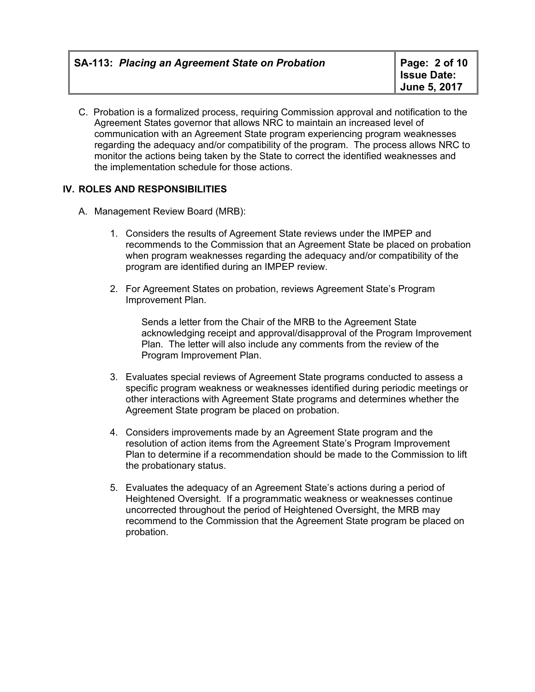C. Probation is a formalized process, requiring Commission approval and notification to the Agreement States governor that allows NRC to maintain an increased level of communication with an Agreement State program experiencing program weaknesses regarding the adequacy and/or compatibility of the program. The process allows NRC to monitor the actions being taken by the State to correct the identified weaknesses and the implementation schedule for those actions.

#### **IV. ROLES AND RESPONSIBILITIES**

- A. Management Review Board (MRB):
	- 1. Considers the results of Agreement State reviews under the IMPEP and recommends to the Commission that an Agreement State be placed on probation when program weaknesses regarding the adequacy and/or compatibility of the program are identified during an IMPEP review.
	- 2. For Agreement States on probation, reviews Agreement State's Program Improvement Plan.

Sends a letter from the Chair of the MRB to the Agreement State acknowledging receipt and approval/disapproval of the Program Improvement Plan. The letter will also include any comments from the review of the Program Improvement Plan.

- 3. Evaluates special reviews of Agreement State programs conducted to assess a specific program weakness or weaknesses identified during periodic meetings or other interactions with Agreement State programs and determines whether the Agreement State program be placed on probation.
- 4. Considers improvements made by an Agreement State program and the resolution of action items from the Agreement State's Program Improvement Plan to determine if a recommendation should be made to the Commission to lift the probationary status.
- 5. Evaluates the adequacy of an Agreement State's actions during a period of Heightened Oversight. If a programmatic weakness or weaknesses continue uncorrected throughout the period of Heightened Oversight, the MRB may recommend to the Commission that the Agreement State program be placed on probation.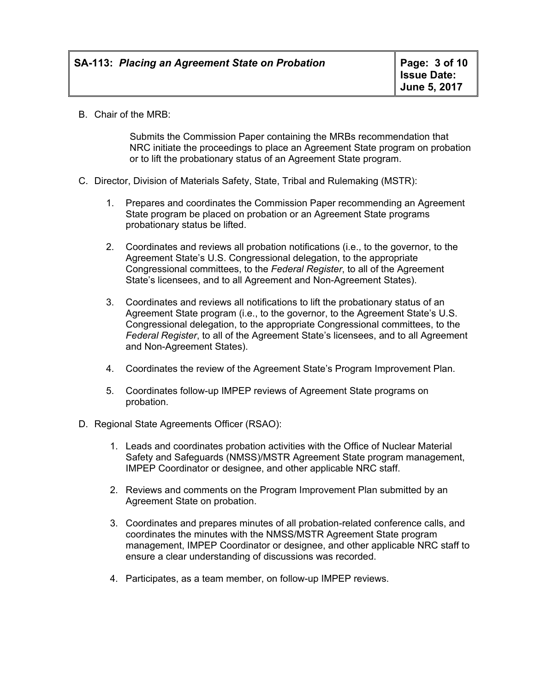B. Chair of the MRB:

 Submits the Commission Paper containing the MRBs recommendation that NRC initiate the proceedings to place an Agreement State program on probation or to lift the probationary status of an Agreement State program.

- C. Director, Division of Materials Safety, State, Tribal and Rulemaking (MSTR):
	- 1. Prepares and coordinates the Commission Paper recommending an Agreement State program be placed on probation or an Agreement State programs probationary status be lifted.
	- 2. Coordinates and reviews all probation notifications (i.e., to the governor, to the Agreement State's U.S. Congressional delegation, to the appropriate Congressional committees, to the *Federal Register*, to all of the Agreement State's licensees, and to all Agreement and Non-Agreement States).
	- 3. Coordinates and reviews all notifications to lift the probationary status of an Agreement State program (i.e., to the governor, to the Agreement State's U.S. Congressional delegation, to the appropriate Congressional committees, to the *Federal Register*, to all of the Agreement State's licensees, and to all Agreement and Non-Agreement States).
	- 4. Coordinates the review of the Agreement State's Program Improvement Plan.
	- 5. Coordinates follow-up IMPEP reviews of Agreement State programs on probation.
- D. Regional State Agreements Officer (RSAO):
	- 1. Leads and coordinates probation activities with the Office of Nuclear Material Safety and Safeguards (NMSS)/MSTR Agreement State program management, IMPEP Coordinator or designee, and other applicable NRC staff.
	- 2. Reviews and comments on the Program Improvement Plan submitted by an Agreement State on probation.
	- 3. Coordinates and prepares minutes of all probation-related conference calls, and coordinates the minutes with the NMSS/MSTR Agreement State program management, IMPEP Coordinator or designee, and other applicable NRC staff to ensure a clear understanding of discussions was recorded.
	- 4. Participates, as a team member, on follow-up IMPEP reviews.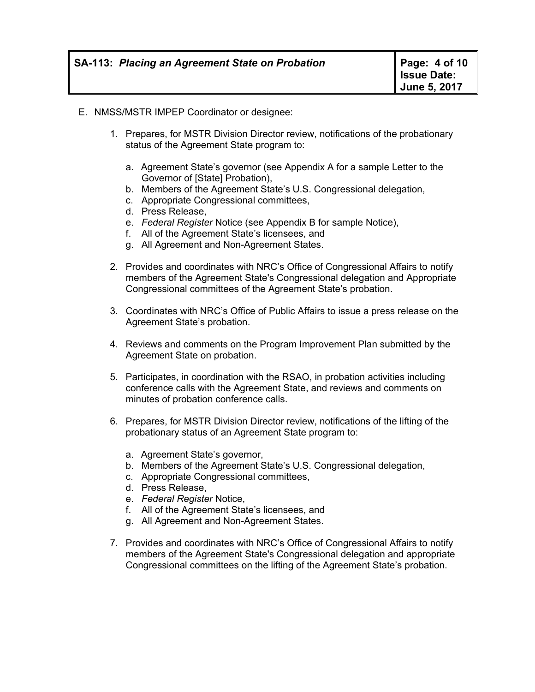- E. NMSS/MSTR IMPEP Coordinator or designee:
	- 1. Prepares, for MSTR Division Director review, notifications of the probationary status of the Agreement State program to:
		- a. Agreement State's governor (see Appendix A for a sample Letter to the Governor of [State] Probation),
		- b. Members of the Agreement State's U.S. Congressional delegation,
		- c. Appropriate Congressional committees,
		- d. Press Release,
		- e. *Federal Register* Notice (see Appendix B for sample Notice),
		- f. All of the Agreement State's licensees, and
		- g. All Agreement and Non-Agreement States.
	- 2. Provides and coordinates with NRC's Office of Congressional Affairs to notify members of the Agreement State's Congressional delegation and Appropriate Congressional committees of the Agreement State's probation.
	- 3. Coordinates with NRC's Office of Public Affairs to issue a press release on the Agreement State's probation.
	- 4. Reviews and comments on the Program Improvement Plan submitted by the Agreement State on probation.
	- 5. Participates, in coordination with the RSAO, in probation activities including conference calls with the Agreement State, and reviews and comments on minutes of probation conference calls.
	- 6. Prepares, for MSTR Division Director review, notifications of the lifting of the probationary status of an Agreement State program to:
		- a. Agreement State's governor,
		- b. Members of the Agreement State's U.S. Congressional delegation,
		- c. Appropriate Congressional committees,
		- d. Press Release,
		- e. *Federal Register* Notice,
		- f. All of the Agreement State's licensees, and
		- g. All Agreement and Non-Agreement States.
	- 7. Provides and coordinates with NRC's Office of Congressional Affairs to notify members of the Agreement State's Congressional delegation and appropriate Congressional committees on the lifting of the Agreement State's probation.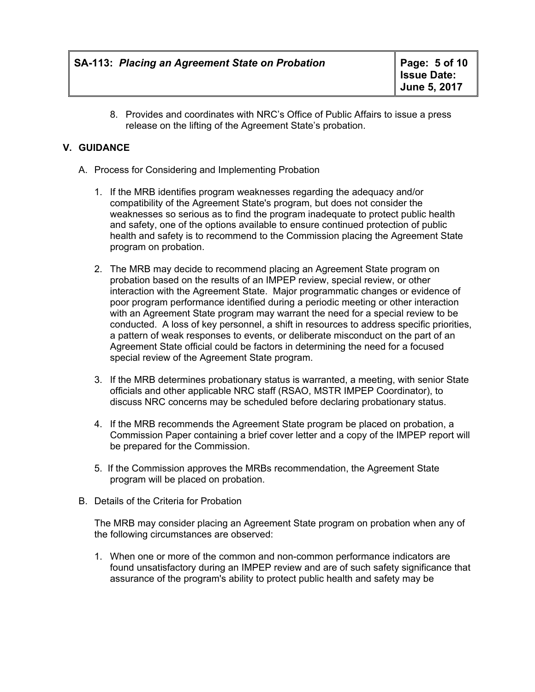8. Provides and coordinates with NRC's Office of Public Affairs to issue a press release on the lifting of the Agreement State's probation.

#### **V. GUIDANCE**

- A. Process for Considering and Implementing Probation
	- 1. If the MRB identifies program weaknesses regarding the adequacy and/or compatibility of the Agreement State's program, but does not consider the weaknesses so serious as to find the program inadequate to protect public health and safety, one of the options available to ensure continued protection of public health and safety is to recommend to the Commission placing the Agreement State program on probation.
	- 2. The MRB may decide to recommend placing an Agreement State program on probation based on the results of an IMPEP review, special review, or other interaction with the Agreement State. Major programmatic changes or evidence of poor program performance identified during a periodic meeting or other interaction with an Agreement State program may warrant the need for a special review to be conducted. A loss of key personnel, a shift in resources to address specific priorities, a pattern of weak responses to events, or deliberate misconduct on the part of an Agreement State official could be factors in determining the need for a focused special review of the Agreement State program.
	- 3. If the MRB determines probationary status is warranted, a meeting, with senior State officials and other applicable NRC staff (RSAO, MSTR IMPEP Coordinator), to discuss NRC concerns may be scheduled before declaring probationary status.
	- 4. If the MRB recommends the Agreement State program be placed on probation, a Commission Paper containing a brief cover letter and a copy of the IMPEP report will be prepared for the Commission.
	- 5. If the Commission approves the MRBs recommendation, the Agreement State program will be placed on probation.
- B. Details of the Criteria for Probation

The MRB may consider placing an Agreement State program on probation when any of the following circumstances are observed:

1. When one or more of the common and non-common performance indicators are found unsatisfactory during an IMPEP review and are of such safety significance that assurance of the program's ability to protect public health and safety may be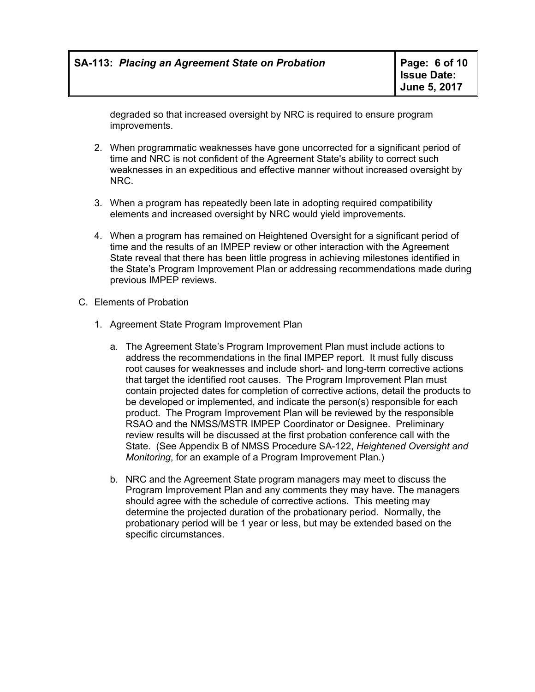degraded so that increased oversight by NRC is required to ensure program improvements.

- 2. When programmatic weaknesses have gone uncorrected for a significant period of time and NRC is not confident of the Agreement State's ability to correct such weaknesses in an expeditious and effective manner without increased oversight by NRC.
- 3. When a program has repeatedly been late in adopting required compatibility elements and increased oversight by NRC would yield improvements.
- 4. When a program has remained on Heightened Oversight for a significant period of time and the results of an IMPEP review or other interaction with the Agreement State reveal that there has been little progress in achieving milestones identified in the State's Program Improvement Plan or addressing recommendations made during previous IMPEP reviews.
- C. Elements of Probation
	- 1. Agreement State Program Improvement Plan
		- a. The Agreement State's Program Improvement Plan must include actions to address the recommendations in the final IMPEP report. It must fully discuss root causes for weaknesses and include short- and long-term corrective actions that target the identified root causes. The Program Improvement Plan must contain projected dates for completion of corrective actions, detail the products to be developed or implemented, and indicate the person(s) responsible for each product. The Program Improvement Plan will be reviewed by the responsible RSAO and the NMSS/MSTR IMPEP Coordinator or Designee. Preliminary review results will be discussed at the first probation conference call with the State. (See Appendix B of NMSS Procedure SA-122, *Heightened Oversight and Monitoring*, for an example of a Program Improvement Plan.)
		- b. NRC and the Agreement State program managers may meet to discuss the Program Improvement Plan and any comments they may have. The managers should agree with the schedule of corrective actions. This meeting may determine the projected duration of the probationary period. Normally, the probationary period will be 1 year or less, but may be extended based on the specific circumstances.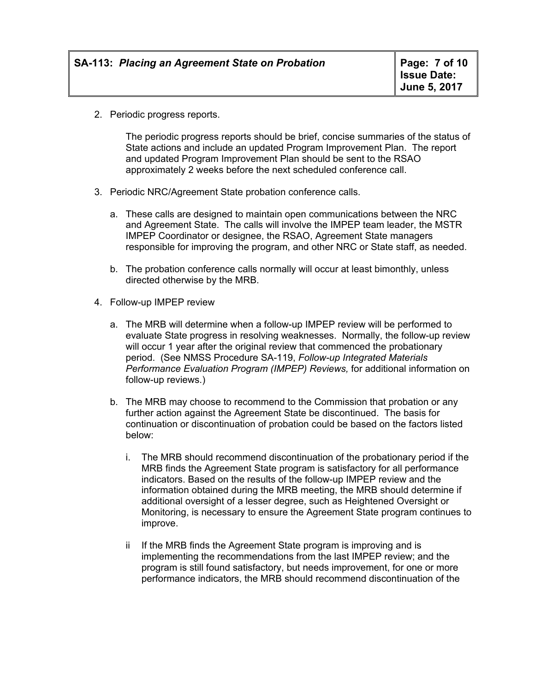2. Periodic progress reports.

The periodic progress reports should be brief, concise summaries of the status of State actions and include an updated Program Improvement Plan. The report and updated Program Improvement Plan should be sent to the RSAO approximately 2 weeks before the next scheduled conference call.

- 3. Periodic NRC/Agreement State probation conference calls.
	- a. These calls are designed to maintain open communications between the NRC and Agreement State. The calls will involve the IMPEP team leader, the MSTR IMPEP Coordinator or designee, the RSAO, Agreement State managers responsible for improving the program, and other NRC or State staff, as needed.
	- b. The probation conference calls normally will occur at least bimonthly, unless directed otherwise by the MRB.
- 4. Follow-up IMPEP review
	- a. The MRB will determine when a follow-up IMPEP review will be performed to evaluate State progress in resolving weaknesses. Normally, the follow-up review will occur 1 year after the original review that commenced the probationary period. (See NMSS Procedure SA-119, *Follow-up Integrated Materials Performance Evaluation Program (IMPEP) Reviews,* for additional information on follow-up reviews.)
	- b. The MRB may choose to recommend to the Commission that probation or any further action against the Agreement State be discontinued. The basis for continuation or discontinuation of probation could be based on the factors listed below:
		- i. The MRB should recommend discontinuation of the probationary period if the MRB finds the Agreement State program is satisfactory for all performance indicators. Based on the results of the follow-up IMPEP review and the information obtained during the MRB meeting, the MRB should determine if additional oversight of a lesser degree, such as Heightened Oversight or Monitoring, is necessary to ensure the Agreement State program continues to improve.
		- ii If the MRB finds the Agreement State program is improving and is implementing the recommendations from the last IMPEP review; and the program is still found satisfactory, but needs improvement, for one or more performance indicators, the MRB should recommend discontinuation of the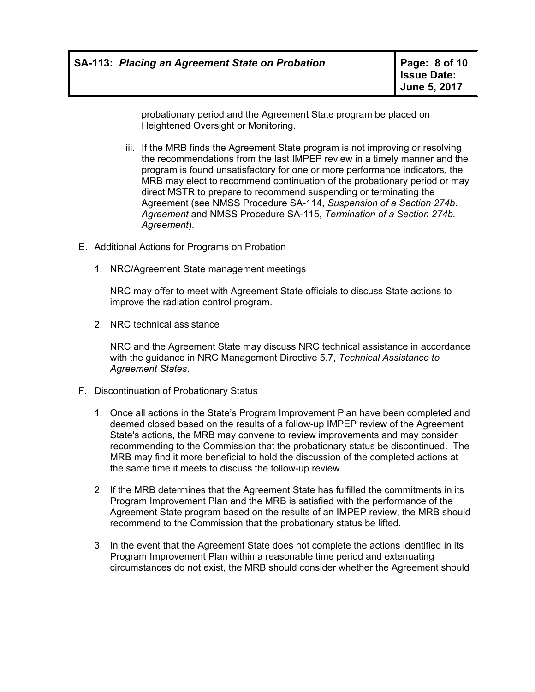probationary period and the Agreement State program be placed on Heightened Oversight or Monitoring.

- iii. If the MRB finds the Agreement State program is not improving or resolving the recommendations from the last IMPEP review in a timely manner and the program is found unsatisfactory for one or more performance indicators, the MRB may elect to recommend continuation of the probationary period or may direct MSTR to prepare to recommend suspending or terminating the Agreement (see NMSS Procedure SA-114, *Suspension of a Section 274b. Agreement* and NMSS Procedure SA-115, *Termination of a Section 274b. Agreement*).
- E. Additional Actions for Programs on Probation
	- 1. NRC/Agreement State management meetings

NRC may offer to meet with Agreement State officials to discuss State actions to improve the radiation control program.

2. NRC technical assistance

NRC and the Agreement State may discuss NRC technical assistance in accordance with the guidance in NRC Management Directive 5.7, *Technical Assistance to Agreement States*.

- F. Discontinuation of Probationary Status
	- 1. Once all actions in the State's Program Improvement Plan have been completed and deemed closed based on the results of a follow-up IMPEP review of the Agreement State's actions, the MRB may convene to review improvements and may consider recommending to the Commission that the probationary status be discontinued. The MRB may find it more beneficial to hold the discussion of the completed actions at the same time it meets to discuss the follow-up review.
	- 2. If the MRB determines that the Agreement State has fulfilled the commitments in its Program Improvement Plan and the MRB is satisfied with the performance of the Agreement State program based on the results of an IMPEP review, the MRB should recommend to the Commission that the probationary status be lifted.
	- 3. In the event that the Agreement State does not complete the actions identified in its Program Improvement Plan within a reasonable time period and extenuating circumstances do not exist, the MRB should consider whether the Agreement should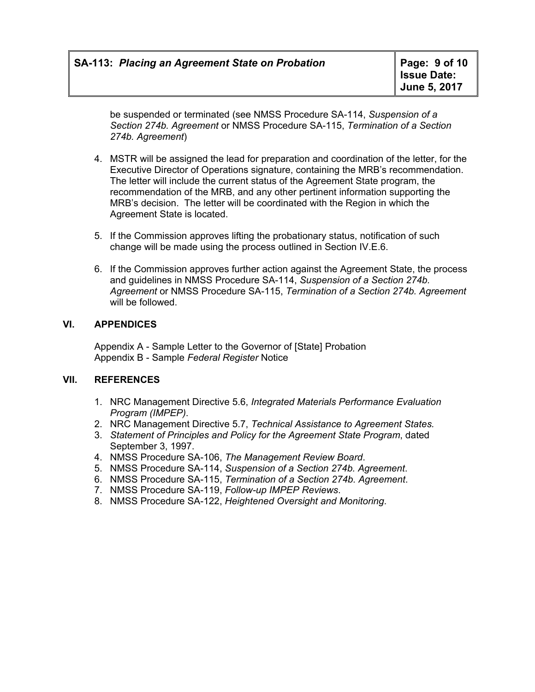be suspended or terminated (see NMSS Procedure SA-114, *Suspension of a Section 274b. Agreement* or NMSS Procedure SA-115, *Termination of a Section 274b. Agreement*)

- 4. MSTR will be assigned the lead for preparation and coordination of the letter, for the Executive Director of Operations signature, containing the MRB's recommendation. The letter will include the current status of the Agreement State program, the recommendation of the MRB, and any other pertinent information supporting the MRB's decision. The letter will be coordinated with the Region in which the Agreement State is located.
- 5. If the Commission approves lifting the probationary status, notification of such change will be made using the process outlined in Section IV.E.6.
- 6. If the Commission approves further action against the Agreement State, the process and guidelines in NMSS Procedure SA-114, *Suspension of a Section 274b. Agreement* or NMSS Procedure SA-115, *Termination of a Section 274b. Agreement* will be followed.

#### **VI. APPENDICES**

Appendix A - Sample Letter to the Governor of [State] Probation Appendix B - Sample *Federal Register* Notice

#### **VII. REFERENCES**

- 1. NRC Management Directive 5.6, *Integrated Materials Performance Evaluation Program (IMPEP)*.
- 2. NRC Management Directive 5.7, *Technical Assistance to Agreement States.*
- 3. *Statement of Principles and Policy for the Agreement State Program*, dated September 3, 1997.
- 4. NMSS Procedure SA-106, *The Management Review Board*.
- 5. NMSS Procedure SA-114, *Suspension of a Section 274b. Agreement*.
- 6. NMSS Procedure SA-115, *Termination of a Section 274b. Agreement*.
- 7. NMSS Procedure SA-119, *Follow-up IMPEP Reviews*.
- 8. NMSS Procedure SA-122, *Heightened Oversight and Monitoring*.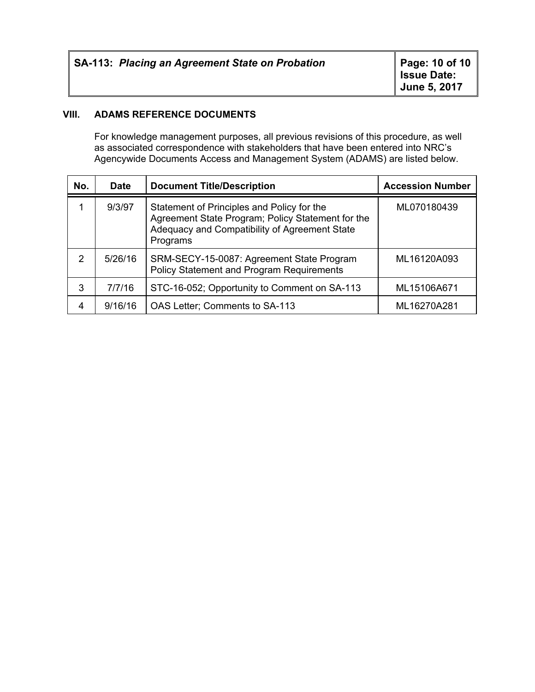| <b>SA-113: Placing an Agreement State on Probation</b> | Page: 10 of 10<br><b>Issue Date:</b><br>June 5, 2017 |
|--------------------------------------------------------|------------------------------------------------------|
|--------------------------------------------------------|------------------------------------------------------|

#### **VIII. ADAMS REFERENCE DOCUMENTS**

For knowledge management purposes, all previous revisions of this procedure, as well as associated correspondence with stakeholders that have been entered into NRC's Agencywide Documents Access and Management System (ADAMS) are listed below.

| No. | <b>Date</b> | <b>Document Title/Description</b>                                                                                                                            | <b>Accession Number</b> |
|-----|-------------|--------------------------------------------------------------------------------------------------------------------------------------------------------------|-------------------------|
|     | 9/3/97      | Statement of Principles and Policy for the<br>Agreement State Program; Policy Statement for the<br>Adequacy and Compatibility of Agreement State<br>Programs | ML070180439             |
| 2   | 5/26/16     | SRM-SECY-15-0087: Agreement State Program<br><b>Policy Statement and Program Requirements</b>                                                                | ML16120A093             |
| 3   | 7/7/16      | STC-16-052; Opportunity to Comment on SA-113                                                                                                                 | ML15106A671             |
| 4   | 9/16/16     | OAS Letter; Comments to SA-113                                                                                                                               | ML16270A281             |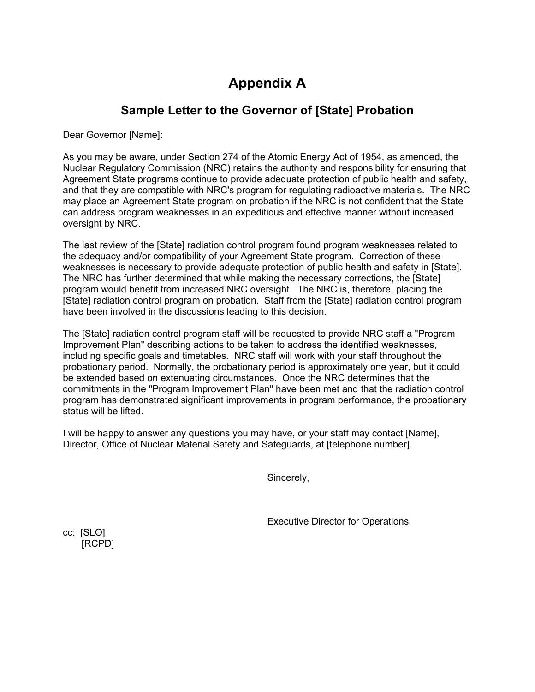## **Appendix A**

### **Sample Letter to the Governor of [State] Probation**

Dear Governor [Name]:

As you may be aware, under Section 274 of the Atomic Energy Act of 1954, as amended, the Nuclear Regulatory Commission (NRC) retains the authority and responsibility for ensuring that Agreement State programs continue to provide adequate protection of public health and safety, and that they are compatible with NRC's program for regulating radioactive materials. The NRC may place an Agreement State program on probation if the NRC is not confident that the State can address program weaknesses in an expeditious and effective manner without increased oversight by NRC.

The last review of the [State] radiation control program found program weaknesses related to the adequacy and/or compatibility of your Agreement State program. Correction of these weaknesses is necessary to provide adequate protection of public health and safety in [State]. The NRC has further determined that while making the necessary corrections, the [State] program would benefit from increased NRC oversight. The NRC is, therefore, placing the [State] radiation control program on probation. Staff from the [State] radiation control program have been involved in the discussions leading to this decision.

The [State] radiation control program staff will be requested to provide NRC staff a "Program Improvement Plan" describing actions to be taken to address the identified weaknesses, including specific goals and timetables. NRC staff will work with your staff throughout the probationary period. Normally, the probationary period is approximately one year, but it could be extended based on extenuating circumstances. Once the NRC determines that the commitments in the "Program Improvement Plan" have been met and that the radiation control program has demonstrated significant improvements in program performance, the probationary status will be lifted.

I will be happy to answer any questions you may have, or your staff may contact [Name], Director, Office of Nuclear Material Safety and Safeguards, at [telephone number].

Sincerely,

Executive Director for Operations

cc: [SLO] [RCPD]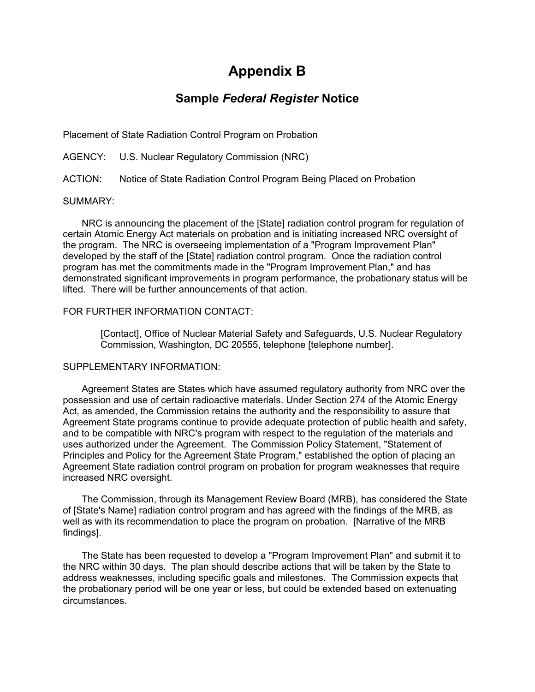### **Appendix B**

### **Sample** *Federal Register* **Notice**

Placement of State Radiation Control Program on Probation

AGENCY: U.S. Nuclear Regulatory Commission (NRC)

ACTION: Notice of State Radiation Control Program Being Placed on Probation

#### SUMMARY:

NRC is announcing the placement of the [State] radiation control program for regulation of certain Atomic Energy Act materials on probation and is initiating increased NRC oversight of the program. The NRC is overseeing implementation of a "Program Improvement Plan" developed by the staff of the [State] radiation control program. Once the radiation control program has met the commitments made in the "Program Improvement Plan," and has demonstrated significant improvements in program performance, the probationary status will be lifted. There will be further announcements of that action.

#### FOR FURTHER INFORMATION CONTACT:

[Contact], Office of Nuclear Material Safety and Safeguards, U.S. Nuclear Regulatory Commission, Washington, DC 20555, telephone [telephone number].

#### SUPPLEMENTARY INFORMATION:

Agreement States are States which have assumed regulatory authority from NRC over the possession and use of certain radioactive materials. Under Section 274 of the Atomic Energy Act, as amended, the Commission retains the authority and the responsibility to assure that Agreement State programs continue to provide adequate protection of public health and safety, and to be compatible with NRC's program with respect to the regulation of the materials and uses authorized under the Agreement. The Commission Policy Statement, "Statement of Principles and Policy for the Agreement State Program," established the option of placing an Agreement State radiation control program on probation for program weaknesses that require increased NRC oversight.

The Commission, through its Management Review Board (MRB), has considered the State of [State's Name] radiation control program and has agreed with the findings of the MRB, as well as with its recommendation to place the program on probation. [Narrative of the MRB findings].

The State has been requested to develop a "Program Improvement Plan" and submit it to the NRC within 30 days. The plan should describe actions that will be taken by the State to address weaknesses, including specific goals and milestones. The Commission expects that the probationary period will be one year or less, but could be extended based on extenuating circumstances.